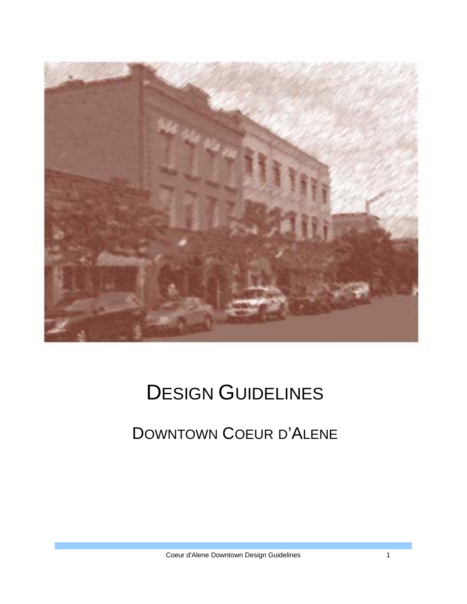

# DESIGN GUIDELINES

## DOWNTOWN COEUR D'ALENE

Coeur d'Alene Downtown Design Guidelines 1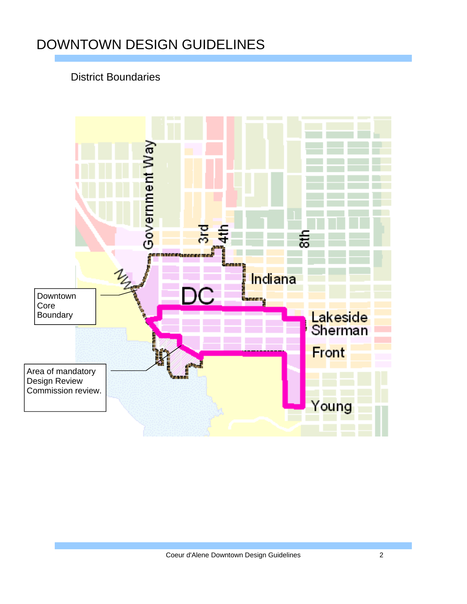#### District Boundaries

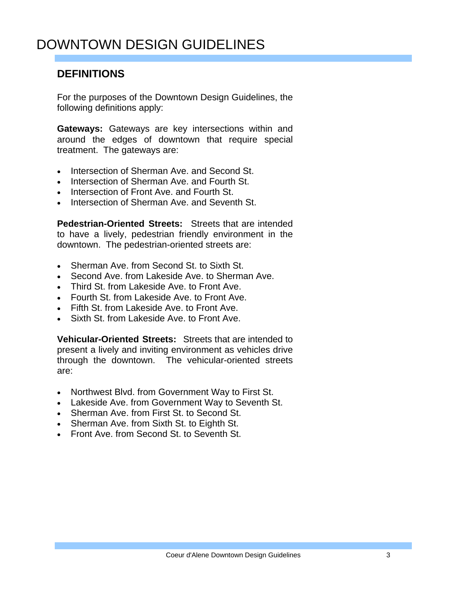#### **DEFINITIONS**

For the purposes of the Downtown Design Guidelines, the following definitions apply:

**Gateways:** Gateways are key intersections within and around the edges of downtown that require special treatment. The gateways are:

- Intersection of Sherman Ave. and Second St.
- Intersection of Sherman Ave. and Fourth St.
- Intersection of Front Ave. and Fourth St.
- Intersection of Sherman Ave. and Seventh St.

**Pedestrian-Oriented Streets:** Streets that are intended to have a lively, pedestrian friendly environment in the downtown. The pedestrian-oriented streets are:

- Sherman Ave. from Second St. to Sixth St.
- Second Ave, from Lakeside Ave, to Sherman Ave.
- Third St. from Lakeside Ave. to Front Ave.
- Fourth St. from Lakeside Ave. to Front Ave.
- Fifth St. from Lakeside Ave. to Front Ave.
- Sixth St. from Lakeside Ave. to Front Ave.

**Vehicular-Oriented Streets:** Streets that are intended to present a lively and inviting environment as vehicles drive through the downtown. The vehicular-oriented streets are:

- Northwest Blvd. from Government Way to First St.
- Lakeside Ave. from Government Way to Seventh St.
- Sherman Ave. from First St. to Second St.
- Sherman Ave. from Sixth St. to Eighth St.
- Front Ave. from Second St. to Seventh St.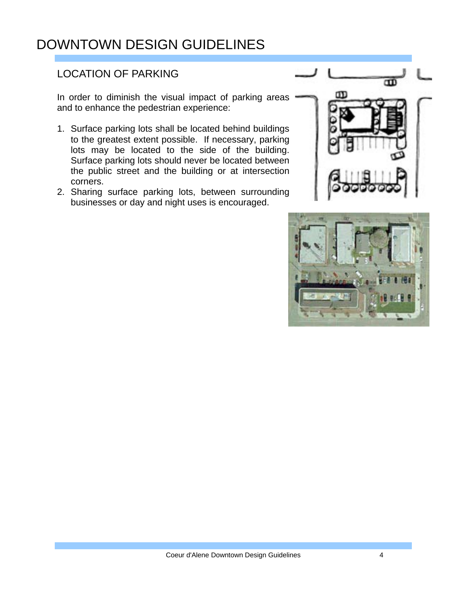#### LOCATION OF PARKING

In order to diminish the visual impact of parking areas and to enhance the pedestrian experience:

- 1. Surface parking lots shall be located behind buildings to the greatest extent possible. If necessary, parking lots may be located to the side of the building. Surface parking lots should never be located between the public street and the building or at intersection corners.
- 2. Sharing surface parking lots, between surrounding businesses or day and night uses is encouraged.



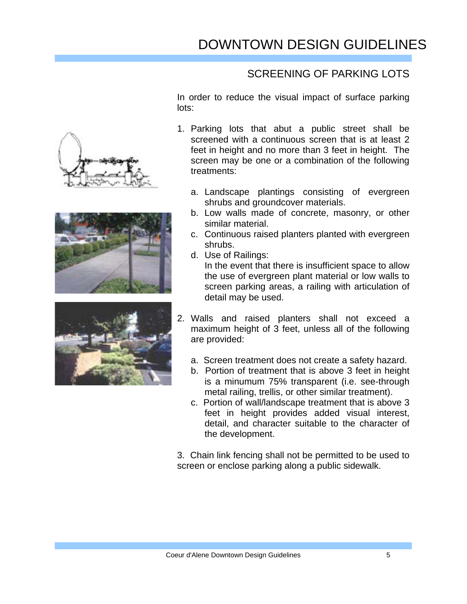#### SCREENING OF PARKING LOTS

In order to reduce the visual impact of surface parking lots:

- 1. Parking lots that abut a public street shall be screened with a continuous screen that is at least 2 feet in height and no more than 3 feet in height. The screen may be one or a combination of the following treatments:
	- a. Landscape plantings consisting of evergreen shrubs and groundcover materials.
	- b. Low walls made of concrete, masonry, or other similar material.
	- c. Continuous raised planters planted with evergreen shrubs.
	- d. Use of Railings:

 In the event that there is insufficient space to allow the use of evergreen plant material or low walls to screen parking areas, a railing with articulation of detail may be used.

- 2. Walls and raised planters shall not exceed a maximum height of 3 feet, unless all of the following are provided:
	- a. Screen treatment does not create a safety hazard.
	- b. Portion of treatment that is above 3 feet in height is a minumum 75% transparent (i.e. see-through metal railing, trellis, or other similar treatment).
	- c. Portion of wall/landscape treatment that is above 3 feet in height provides added visual interest, detail, and character suitable to the character of the development.

3. Chain link fencing shall not be permitted to be used to screen or enclose parking along a public sidewalk.





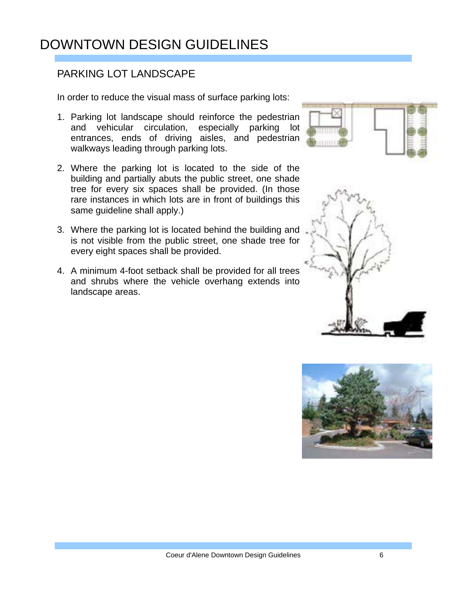#### PARKING LOT LANDSCAPE

In order to reduce the visual mass of surface parking lots:

- 1. Parking lot landscape should reinforce the pedestrian and vehicular circulation, especially parking lot entrances, ends of driving aisles, and pedestrian walkways leading through parking lots.
- 2. Where the parking lot is located to the side of the building and partially abuts the public street, one shade tree for every six spaces shall be provided. (In those rare instances in which lots are in front of buildings this same guideline shall apply.)
- 3. Where the parking lot is located behind the building and is not visible from the public street, one shade tree for every eight spaces shall be provided.
- 4. A minimum 4-foot setback shall be provided for all trees and shrubs where the vehicle overhang extends into landscape areas.





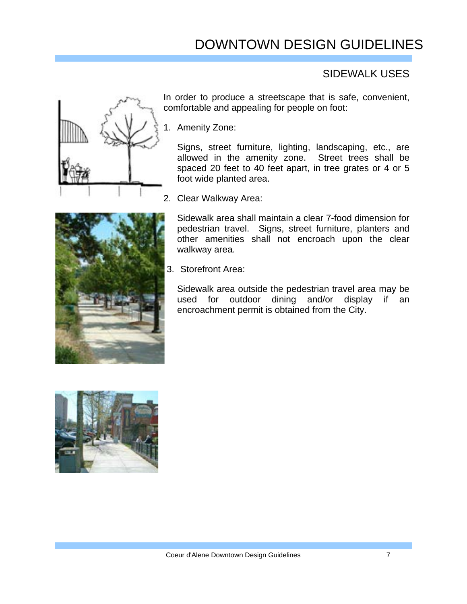#### SIDEWALK USES



In order to produce a streetscape that is safe, convenient, comfortable and appealing for people on foot:

1. Amenity Zone:

Signs, street furniture, lighting, landscaping, etc., are allowed in the amenity zone. Street trees shall be spaced 20 feet to 40 feet apart, in tree grates or 4 or 5 foot wide planted area.

2. Clear Walkway Area:

Sidewalk area shall maintain a clear 7-food dimension for pedestrian travel. Signs, street furniture, planters and other amenities shall not encroach upon the clear walkway area.

3. Storefront Area:

Sidewalk area outside the pedestrian travel area may be used for outdoor dining and/or display if an encroachment permit is obtained from the City.

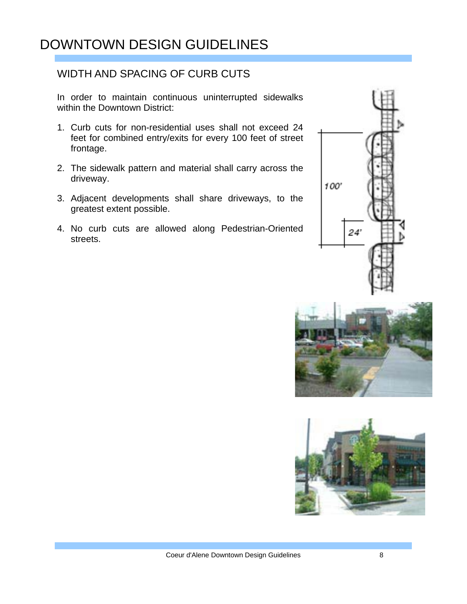#### WIDTH AND SPACING OF CURB CUTS

In order to maintain continuous uninterrupted sidewalks within the Downtown District:

- 1. Curb cuts for non-residential uses shall not exceed 24 feet for combined entry/exits for every 100 feet of street frontage.
- 2. The sidewalk pattern and material shall carry across the driveway.
- 3. Adjacent developments shall share driveways, to the greatest extent possible.
- 4. No curb cuts are allowed along Pedestrian-Oriented streets.





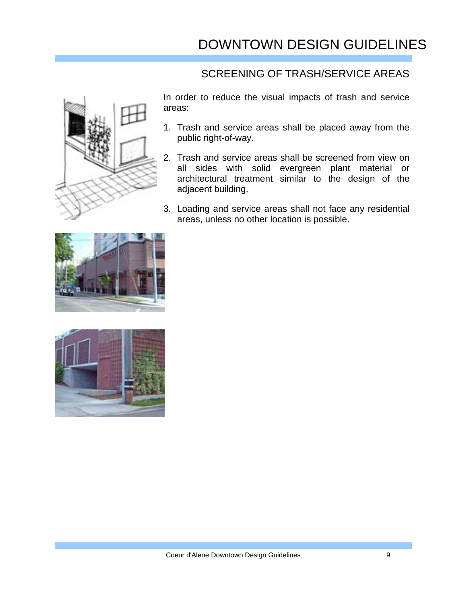#### SCREENING OF TRASH/SERVICE AREAS



In order to reduce the visual impacts of trash and service areas:

- 1. Trash and service areas shall be placed away from the public right-of-way.
- 2. Trash and service areas shall be screened from view on all sides with solid evergreen plant material or architectural treatment similar to the design of the adjacent building.
- 3. Loading and service areas shall not face any residential areas, unless no other location is possible.



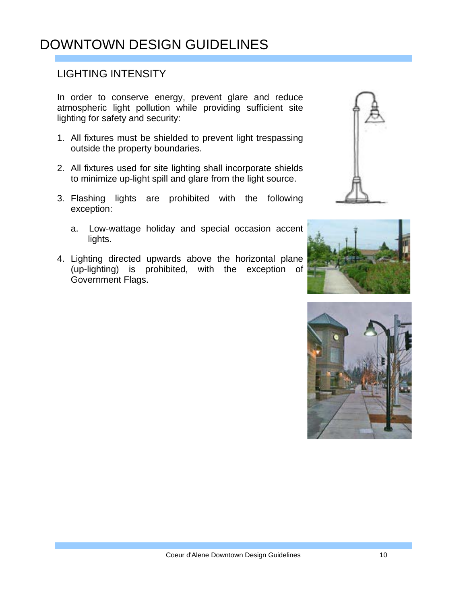#### LIGHTING INTENSITY

In order to conserve energy, prevent glare and reduce atmospheric light pollution while providing sufficient site lighting for safety and security:

- 1. All fixtures must be shielded to prevent light trespassing outside the property boundaries.
- 2. All fixtures used for site lighting shall incorporate shields to minimize up-light spill and glare from the light source.
- 3. Flashing lights are prohibited with the following exception:
	- a. Low-wattage holiday and special occasion accent lights.
- 4. Lighting directed upwards above the horizontal plane (up-lighting) is prohibited, with the exception of Government Flags.





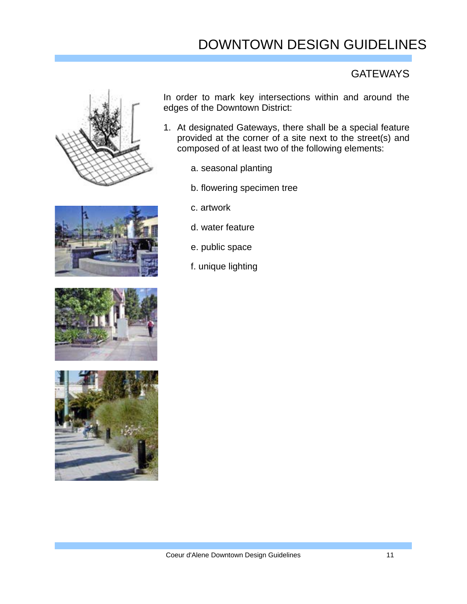#### **GATEWAYS**



In order to mark key intersections within and around the edges of the Downtown District:

- 1. At designated Gateways, there shall be a special feature provided at the corner of a site next to the street(s) and composed of at least two of the following elements:
	- a. seasonal planting
	- b. flowering specimen tree
- 





- c. artwork
- d. water feature
- e. public space
- f. unique lighting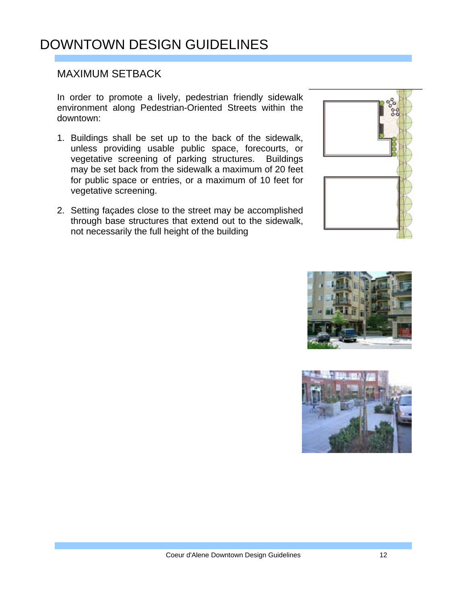#### MAXIMUM SETBACK

In order to promote a lively, pedestrian friendly sidewalk environment along Pedestrian-Oriented Streets within the downtown:

- 1. Buildings shall be set up to the back of the sidewalk, unless providing usable public space, forecourts, or vegetative screening of parking structures. Buildings may be set back from the sidewalk a maximum of 20 feet for public space or entries, or a maximum of 10 feet for vegetative screening.
- 2. Setting façades close to the street may be accomplished through base structures that extend out to the sidewalk, not necessarily the full height of the building





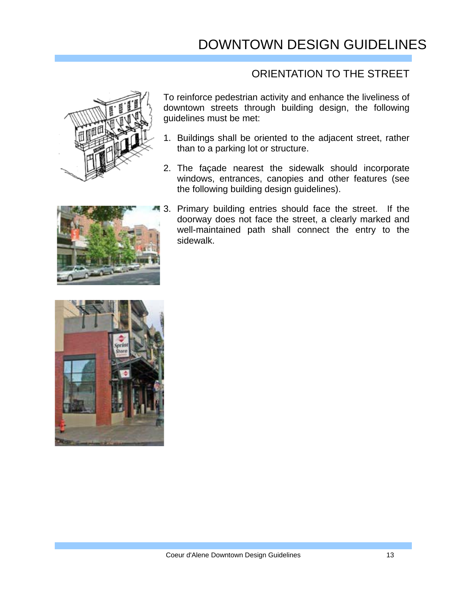#### ORIENTATION TO THE STREET



To reinforce pedestrian activity and enhance the liveliness of downtown streets through building design, the following guidelines must be met:

- 1. Buildings shall be oriented to the adjacent street, rather than to a parking lot or structure.
- 2. The façade nearest the sidewalk should incorporate windows, entrances, canopies and other features (see the following building design guidelines).



3. Primary building entries should face the street. If the doorway does not face the street, a clearly marked and well-maintained path shall connect the entry to the sidewalk.

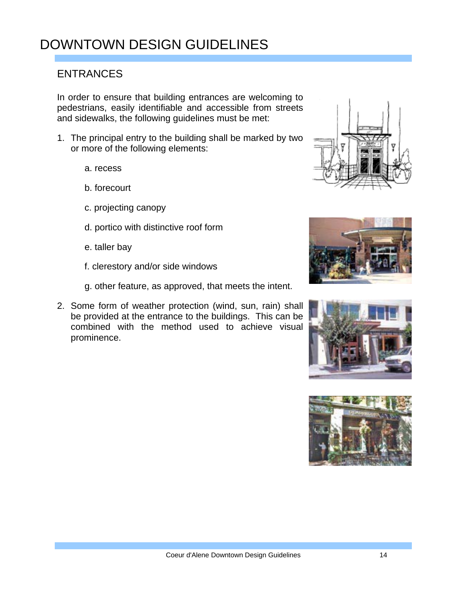#### ENTRANCES

In order to ensure that building entrances are welcoming to pedestrians, easily identifiable and accessible from streets and sidewalks, the following guidelines must be met:

- 1. The principal entry to the building shall be marked by two or more of the following elements:
	- a. recess
	- b. forecourt
	- c. projecting canopy
	- d. portico with distinctive roof form
	- e. taller bay
	- f. clerestory and/or side windows
	- g. other feature, as approved, that meets the intent.
- 2. Some form of weather protection (wind, sun, rain) shall be provided at the entrance to the buildings. This can be combined with the method used to achieve visual prominence.







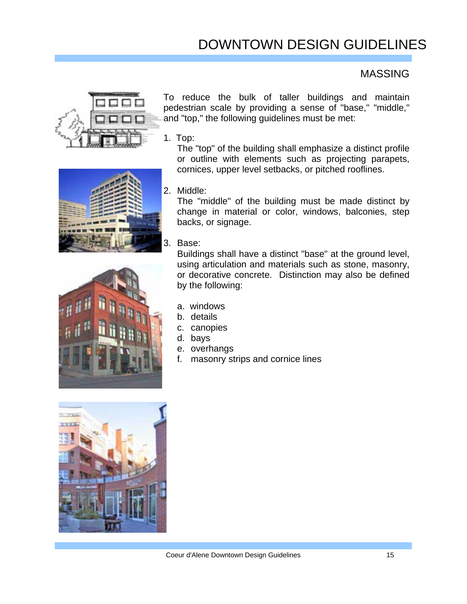#### MASSING







To reduce the bulk of taller buildings and maintain pedestrian scale by providing a sense of "base," "middle," and "top," the following guidelines must be met:

1. Top:

 The "top" of the building shall emphasize a distinct profile or outline with elements such as projecting parapets, cornices, upper level setbacks, or pitched rooflines.

2. Middle:

 The "middle" of the building must be made distinct by change in material or color, windows, balconies, step backs, or signage.

3. Base:

 Buildings shall have a distinct "base" at the ground level, using articulation and materials such as stone, masonry, or decorative concrete. Distinction may also be defined by the following:

- a. windows
- b. details
- c. canopies
- d. bays
- e. overhangs
- f. masonry strips and cornice lines

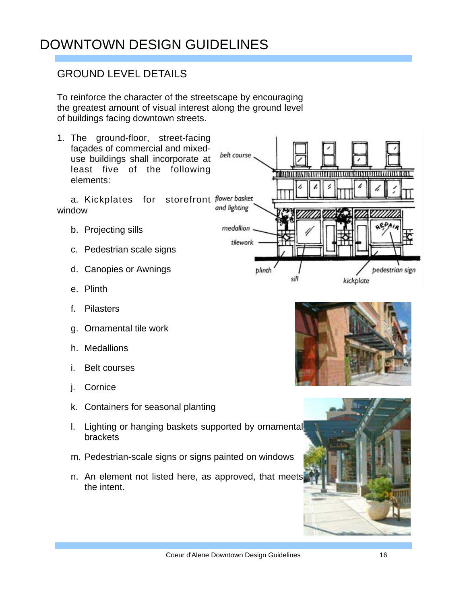#### GROUND LEVEL DETAILS

To reinforce the character of the streetscape by encouraging the greatest amount of visual interest along the ground level of buildings facing downtown streets.

belt course

medallion

tilework

plinth

sill

1. The ground-floor, street-facing façades of commercial and mixeduse buildings shall incorporate at least five of the following elements:

a. Kickplates for storefront flower basket and lighting window

- b. Projecting sills
- c. Pedestrian scale signs
- d. Canopies or Awnings
- e. Plinth
- f. Pilasters
- g. Ornamental tile work
- h. Medallions
- i. Belt courses
- j. Cornice
- k. Containers for seasonal planting
- l. Lighting or hanging baskets supported by ornamental brackets
- m. Pedestrian-scale signs or signs painted on windows
- n. An element not listed here, as approved, that meets the intent.



kickplate

bedestrian sign

minimining as in structured and a continuous and a continuous and a continuous and a continuous and a continuous

٤

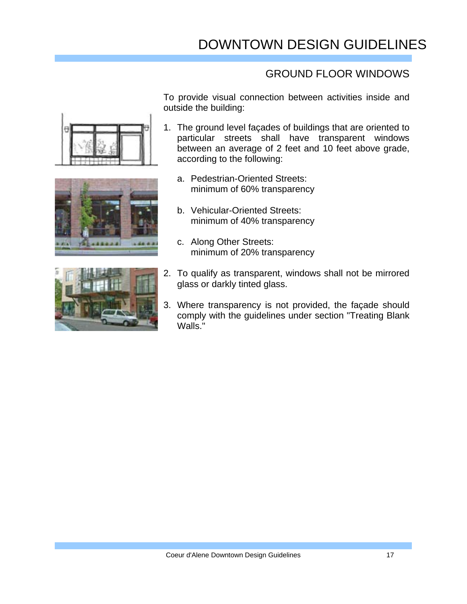#### GROUND FLOOR WINDOWS

To provide visual connection between activities inside and outside the building:

- 1. The ground level façades of buildings that are oriented to particular streets shall have transparent windows between an average of 2 feet and 10 feet above grade, according to the following:
	- a. Pedestrian-Oriented Streets: minimum of 60% transparency
	- b. Vehicular-Oriented Streets: minimum of 40% transparency
	- c. Along Other Streets: minimum of 20% transparency
- 2. To qualify as transparent, windows shall not be mirrored glass or darkly tinted glass.
- 3. Where transparency is not provided, the façade should comply with the guidelines under section "Treating Blank Walls."





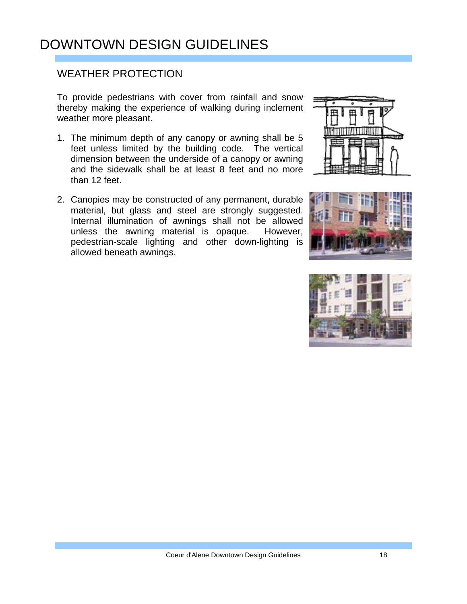#### WEATHER PROTECTION

To provide pedestrians with cover from rainfall and snow thereby making the experience of walking during inclement weather more pleasant.

- 1. The minimum depth of any canopy or awning shall be 5 feet unless limited by the building code. The vertical dimension between the underside of a canopy or awning and the sidewalk shall be at least 8 feet and no more than 12 feet.
- 2. Canopies may be constructed of any permanent, durable material, but glass and steel are strongly suggested. Internal illumination of awnings shall not be allowed unless the awning material is opaque. However, pedestrian-scale lighting and other down-lighting is allowed beneath awnings.





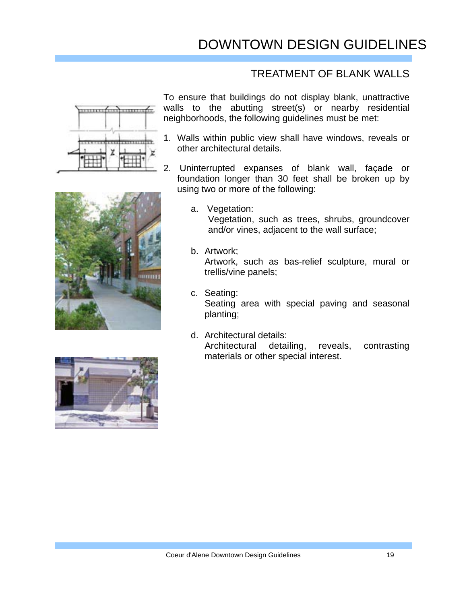#### TREATMENT OF BLANK WALLS





- 1. Walls within public view shall have windows, reveals or other architectural details.
- 2. Uninterrupted expanses of blank wall, façade or foundation longer than 30 feet shall be broken up by using two or more of the following:



- a. Vegetation: Vegetation, such as trees, shrubs, groundcover and/or vines, adjacent to the wall surface;
- b. Artwork; Artwork, such as bas-relief sculpture, mural or trellis/vine panels;
- c. Seating: Seating area with special paving and seasonal planting;
- d. Architectural details: Architectural detailing, reveals, contrasting materials or other special interest.

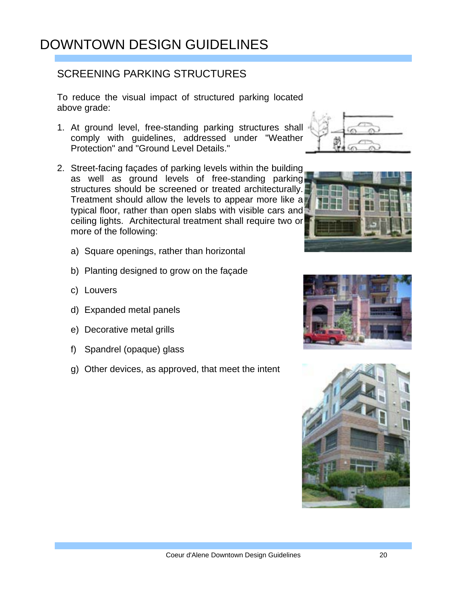#### SCREENING PARKING STRUCTURES

To reduce the visual impact of structured parking located above grade:

- 1. At ground level, free-standing parking structures shall comply with guidelines, addressed under "Weather Protection" and "Ground Level Details."
- 2. Street-facing façades of parking levels within the building as well as ground levels of free-standing parking structures should be screened or treated architecturally. Treatment should allow the levels to appear more like a typical floor, rather than open slabs with visible cars and ceiling lights. Architectural treatment shall require two or more of the following:
	- a) Square openings, rather than horizontal
	- b) Planting designed to grow on the façade
	- c) Louvers
	- d) Expanded metal panels
	- e) Decorative metal grills
	- f) Spandrel (opaque) glass
	- g) Other devices, as approved, that meet the intent







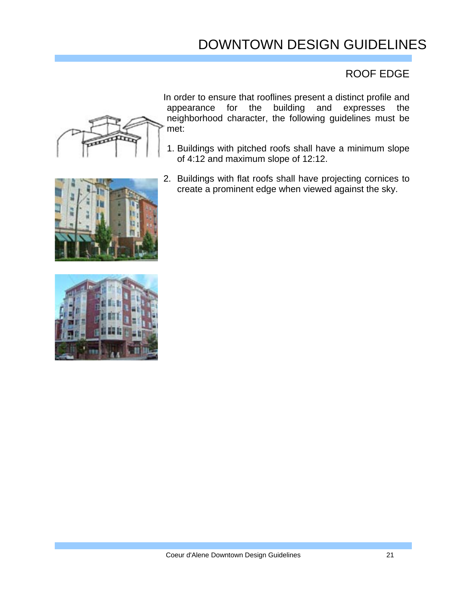#### ROOF EDGE



In order to ensure that rooflines present a distinct profile and appearance for the building and expresses the neighborhood character, the following guidelines must be met:

- 1. Buildings with pitched roofs shall have a minimum slope of 4:12 and maximum slope of 12:12.
- 2. Buildings with flat roofs shall have projecting cornices to create a prominent edge when viewed against the sky.

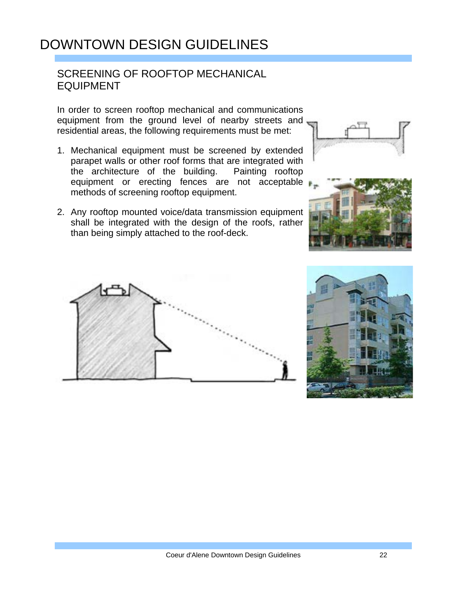#### SCREENING OF ROOFTOP MECHANICAL EQUIPMENT

In order to screen rooftop mechanical and communications equipment from the ground level of nearby streets and residential areas, the following requirements must be met:

- 1. Mechanical equipment must be screened by extended parapet walls or other roof forms that are integrated with<br>the architecture of the building. Painting rooftop the architecture of the building. equipment or erecting fences are not acceptable methods of screening rooftop equipment.
- 2. Any rooftop mounted voice/data transmission equipment shall be integrated with the design of the roofs, rather than being simply attached to the roof-deck.







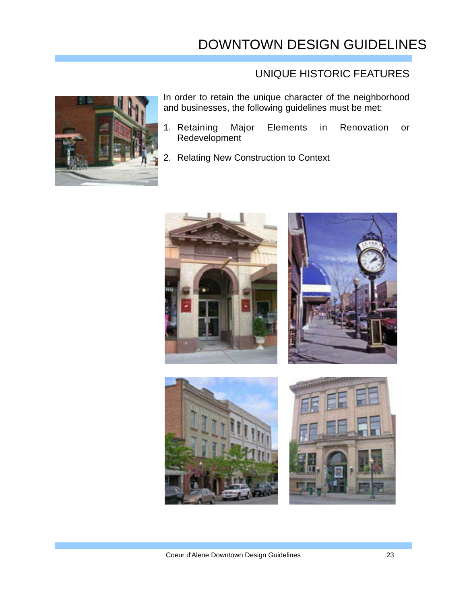#### UNIQUE HISTORIC FEATURES



In order to retain the unique character of the neighborhood and businesses, the following guidelines must be met:

- 1. Retaining Major Elements in Renovation or Redevelopment
- 2. Relating New Construction to Context

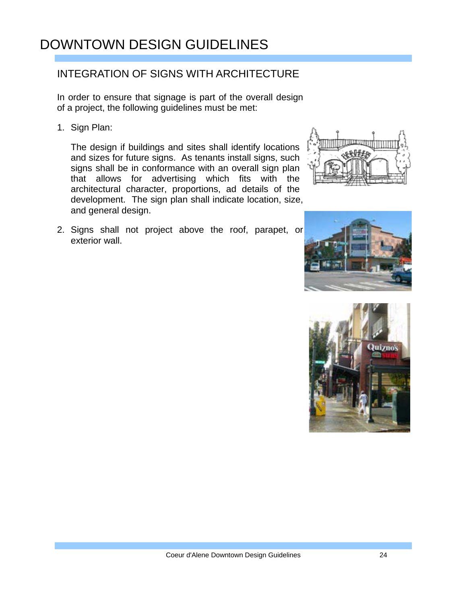#### INTEGRATION OF SIGNS WITH ARCHITECTURE

In order to ensure that signage is part of the overall design of a project, the following guidelines must be met:

1. Sign Plan:

The design if buildings and sites shall identify locations and sizes for future signs. As tenants install signs, such signs shall be in conformance with an overall sign plan that allows for advertising which fits with the architectural character, proportions, ad details of the development. The sign plan shall indicate location, size, and general design.

2. Signs shall not project above the roof, parapet, or exterior wall.